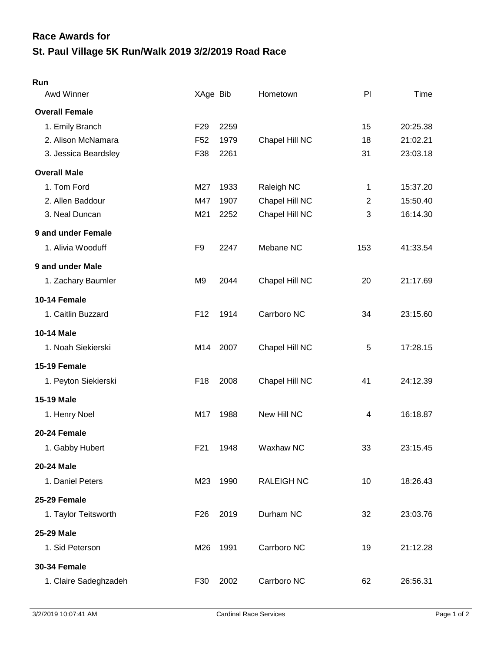## **St. Paul Village 5K Run/Walk 2019 3/2/2019 Road Race Race Awards for**

## **Run**

| Awd Winner            | XAge Bib        |      | Hometown          | PI                      | Time     |
|-----------------------|-----------------|------|-------------------|-------------------------|----------|
| <b>Overall Female</b> |                 |      |                   |                         |          |
| 1. Emily Branch       | F <sub>29</sub> | 2259 |                   | 15                      | 20:25.38 |
| 2. Alison McNamara    | F <sub>52</sub> | 1979 | Chapel Hill NC    | 18                      | 21:02.21 |
| 3. Jessica Beardsley  | F38             | 2261 |                   | 31                      | 23:03.18 |
| <b>Overall Male</b>   |                 |      |                   |                         |          |
| 1. Tom Ford           | M27             | 1933 | Raleigh NC        | 1                       | 15:37.20 |
| 2. Allen Baddour      | M47             | 1907 | Chapel Hill NC    | $\overline{2}$          | 15:50.40 |
| 3. Neal Duncan        | M21             | 2252 | Chapel Hill NC    | 3                       | 16:14.30 |
| 9 and under Female    |                 |      |                   |                         |          |
| 1. Alivia Wooduff     | F <sub>9</sub>  | 2247 | Mebane NC         | 153                     | 41:33.54 |
| 9 and under Male      |                 |      |                   |                         |          |
| 1. Zachary Baumler    | M <sub>9</sub>  | 2044 | Chapel Hill NC    | 20                      | 21:17.69 |
| 10-14 Female          |                 |      |                   |                         |          |
| 1. Caitlin Buzzard    | F <sub>12</sub> | 1914 | Carrboro NC       | 34                      | 23:15.60 |
| <b>10-14 Male</b>     |                 |      |                   |                         |          |
| 1. Noah Siekierski    | M14             | 2007 | Chapel Hill NC    | 5                       | 17:28.15 |
| 15-19 Female          |                 |      |                   |                         |          |
| 1. Peyton Siekierski  | F <sub>18</sub> | 2008 | Chapel Hill NC    | 41                      | 24:12.39 |
| <b>15-19 Male</b>     |                 |      |                   |                         |          |
| 1. Henry Noel         | M17             | 1988 | New Hill NC       | $\overline{\mathbf{4}}$ | 16:18.87 |
| 20-24 Female          |                 |      |                   |                         |          |
| 1. Gabby Hubert       | F <sub>21</sub> | 1948 | Waxhaw NC         | 33                      | 23:15.45 |
| <b>20-24 Male</b>     |                 |      |                   |                         |          |
| 1. Daniel Peters      | M23             | 1990 | <b>RALEIGH NC</b> | 10                      | 18:26.43 |
| 25-29 Female          |                 |      |                   |                         |          |
| 1. Taylor Teitsworth  | F <sub>26</sub> | 2019 | Durham NC         | 32                      | 23:03.76 |
| <b>25-29 Male</b>     |                 |      |                   |                         |          |
| 1. Sid Peterson       | M26             | 1991 | Carrboro NC       | 19                      | 21:12.28 |
| <b>30-34 Female</b>   |                 |      |                   |                         |          |
| 1. Claire Sadeghzadeh | F30             | 2002 | Carrboro NC       | 62                      | 26:56.31 |
|                       |                 |      |                   |                         |          |